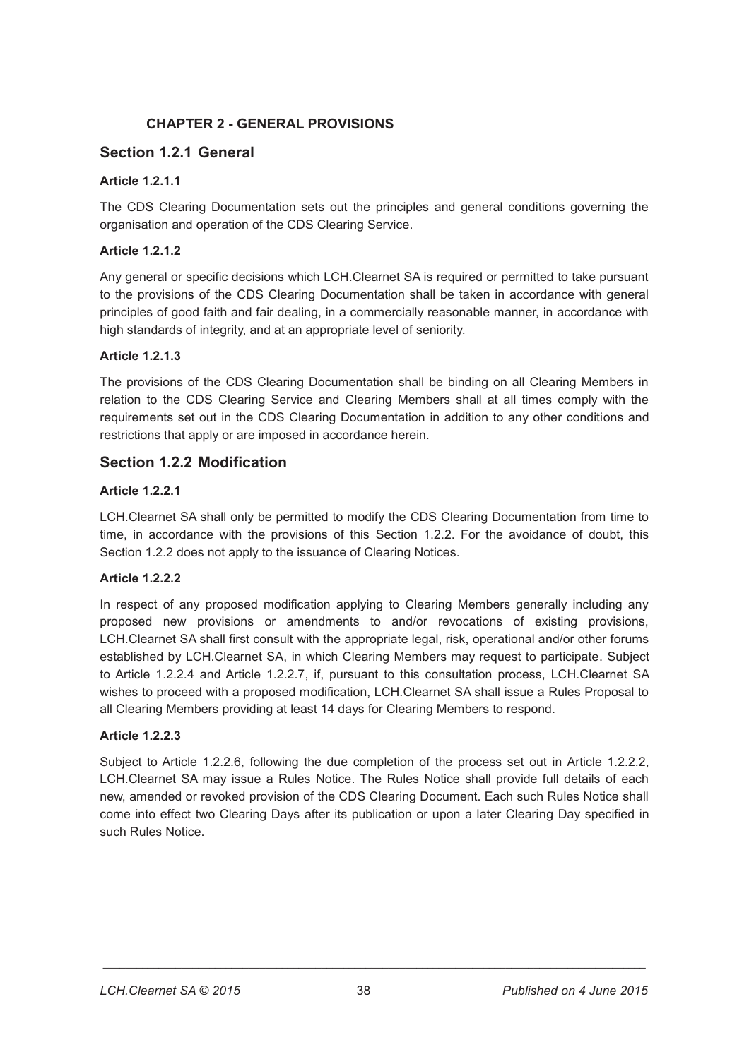# **CHAPTER 2 - GENERAL PROVISIONS**

# **Section 1.2.1 General**

## **Article 1.2.1.1**

The CDS Clearing Documentation sets out the principles and general conditions governing the organisation and operation of the CDS Clearing Service.

## **Article 1.2.1.2**

Any general or specific decisions which LCH.Clearnet SA is required or permitted to take pursuant to the provisions of the CDS Clearing Documentation shall be taken in accordance with general principles of good faith and fair dealing, in a commercially reasonable manner, in accordance with high standards of integrity, and at an appropriate level of seniority.

## **Article 1.2.1.3**

The provisions of the CDS Clearing Documentation shall be binding on all Clearing Members in relation to the CDS Clearing Service and Clearing Members shall at all times comply with the requirements set out in the CDS Clearing Documentation in addition to any other conditions and restrictions that apply or are imposed in accordance herein.

# **Section 1.2.2 Modification**

## **Article 1.2.2.1**

LCH.Clearnet SA shall only be permitted to modify the CDS Clearing Documentation from time to time, in accordance with the provisions of this Section 1.2.2. For the avoidance of doubt, this Section 1.2.2 does not apply to the issuance of Clearing Notices.

## **Article 1.2.2.2**

In respect of any proposed modification applying to Clearing Members generally including any proposed new provisions or amendments to and/or revocations of existing provisions, LCH.Clearnet SA shall first consult with the appropriate legal, risk, operational and/or other forums established by LCH.Clearnet SA, in which Clearing Members may request to participate. Subject to Article 1.2.2.4 and Article 1.2.2.7, if, pursuant to this consultation process, LCH.Clearnet SA wishes to proceed with a proposed modification, LCH.Clearnet SA shall issue a Rules Proposal to all Clearing Members providing at least 14 days for Clearing Members to respond.

## **Article 1.2.2.3**

Subject to Article 1.2.2.6, following the due completion of the process set out in Article 1.2.2.2, LCH.Clearnet SA may issue a Rules Notice. The Rules Notice shall provide full details of each new, amended or revoked provision of the CDS Clearing Document. Each such Rules Notice shall come into effect two Clearing Days after its publication or upon a later Clearing Day specified in such Rules Notice.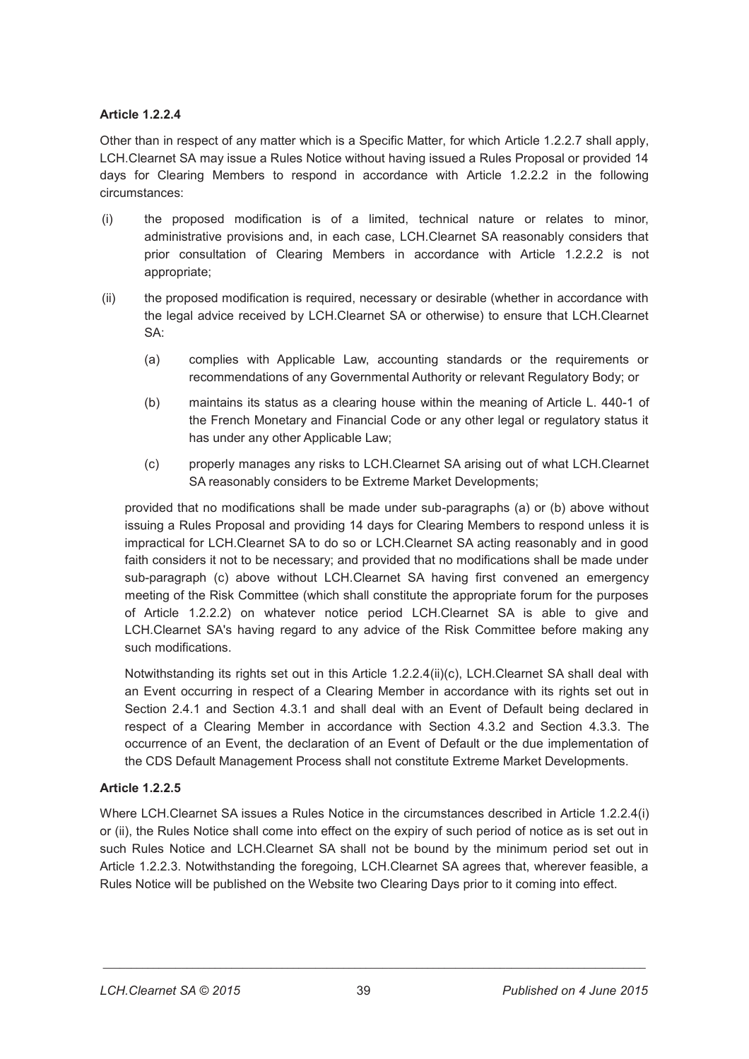### **Article 1.2.2.4**

Other than in respect of any matter which is a Specific Matter, for which Article 1.2.2.7 shall apply, LCH.Clearnet SA may issue a Rules Notice without having issued a Rules Proposal or provided 14 days for Clearing Members to respond in accordance with Article 1.2.2.2 in the following circumstances:

- (i) the proposed modification is of a limited, technical nature or relates to minor, administrative provisions and, in each case, LCH.Clearnet SA reasonably considers that prior consultation of Clearing Members in accordance with Article 1.2.2.2 is not appropriate;
- (ii) the proposed modification is required, necessary or desirable (whether in accordance with the legal advice received by LCH.Clearnet SA or otherwise) to ensure that LCH.Clearnet SA:
	- (a) complies with Applicable Law, accounting standards or the requirements or recommendations of any Governmental Authority or relevant Regulatory Body; or
	- (b) maintains its status as a clearing house within the meaning of Article L. 440-1 of the French Monetary and Financial Code or any other legal or regulatory status it has under any other Applicable Law;
	- (c) properly manages any risks to LCH.Clearnet SA arising out of what LCH.Clearnet SA reasonably considers to be Extreme Market Developments;

provided that no modifications shall be made under sub-paragraphs (a) or (b) above without issuing a Rules Proposal and providing 14 days for Clearing Members to respond unless it is impractical for LCH.Clearnet SA to do so or LCH.Clearnet SA acting reasonably and in good faith considers it not to be necessary; and provided that no modifications shall be made under sub-paragraph (c) above without LCH.Clearnet SA having first convened an emergency meeting of the Risk Committee (which shall constitute the appropriate forum for the purposes of Article 1.2.2.2) on whatever notice period LCH.Clearnet SA is able to give and LCH.Clearnet SA's having regard to any advice of the Risk Committee before making any such modifications.

Notwithstanding its rights set out in this Article 1.2.2.4(ii)(c), LCH.Clearnet SA shall deal with an Event occurring in respect of a Clearing Member in accordance with its rights set out in Section 2.4.1 and Section 4.3.1 and shall deal with an Event of Default being declared in respect of a Clearing Member in accordance with Section 4.3.2 and Section 4.3.3. The occurrence of an Event, the declaration of an Event of Default or the due implementation of the CDS Default Management Process shall not constitute Extreme Market Developments.

## **Article 1.2.2.5**

Where LCH.Clearnet SA issues a Rules Notice in the circumstances described in Article 1.2.2.4(i) or (ii), the Rules Notice shall come into effect on the expiry of such period of notice as is set out in such Rules Notice and LCH.Clearnet SA shall not be bound by the minimum period set out in Article 1.2.2.3. Notwithstanding the foregoing, LCH.Clearnet SA agrees that, wherever feasible, a Rules Notice will be published on the Website two Clearing Days prior to it coming into effect.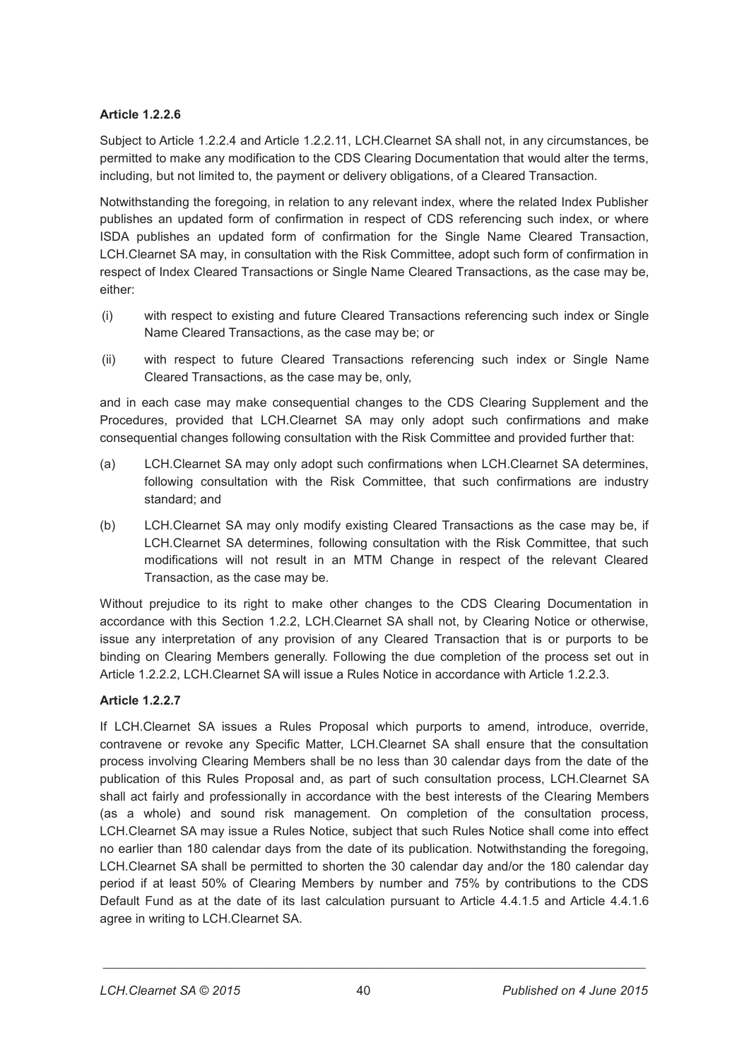## **Article 1.2.2.6**

Subject to Article 1.2.2.4 and Article 1.2.2.11, LCH.Clearnet SA shall not, in any circumstances, be permitted to make any modification to the CDS Clearing Documentation that would alter the terms, including, but not limited to, the payment or delivery obligations, of a Cleared Transaction.

Notwithstanding the foregoing, in relation to any relevant index, where the related Index Publisher publishes an updated form of confirmation in respect of CDS referencing such index, or where ISDA publishes an updated form of confirmation for the Single Name Cleared Transaction, LCH.Clearnet SA may, in consultation with the Risk Committee, adopt such form of confirmation in respect of Index Cleared Transactions or Single Name Cleared Transactions, as the case may be, either:

- (i) with respect to existing and future Cleared Transactions referencing such index or Single Name Cleared Transactions, as the case may be; or
- (ii) with respect to future Cleared Transactions referencing such index or Single Name Cleared Transactions, as the case may be, only,

and in each case may make consequential changes to the CDS Clearing Supplement and the Procedures, provided that LCH.Clearnet SA may only adopt such confirmations and make consequential changes following consultation with the Risk Committee and provided further that:

- (a) LCH.Clearnet SA may only adopt such confirmations when LCH.Clearnet SA determines, following consultation with the Risk Committee, that such confirmations are industry standard; and
- (b) LCH.Clearnet SA may only modify existing Cleared Transactions as the case may be, if LCH.Clearnet SA determines, following consultation with the Risk Committee, that such modifications will not result in an MTM Change in respect of the relevant Cleared Transaction, as the case may be.

Without prejudice to its right to make other changes to the CDS Clearing Documentation in accordance with this Section 1.2.2, LCH.Clearnet SA shall not, by Clearing Notice or otherwise, issue any interpretation of any provision of any Cleared Transaction that is or purports to be binding on Clearing Members generally. Following the due completion of the process set out in Article 1.2.2.2, LCH.Clearnet SA will issue a Rules Notice in accordance with Article 1.2.2.3.

# **Article 1.2.2.7**

If LCH.Clearnet SA issues a Rules Proposal which purports to amend, introduce, override, contravene or revoke any Specific Matter, LCH.Clearnet SA shall ensure that the consultation process involving Clearing Members shall be no less than 30 calendar days from the date of the publication of this Rules Proposal and, as part of such consultation process, LCH.Clearnet SA shall act fairly and professionally in accordance with the best interests of the Clearing Members (as a whole) and sound risk management. On completion of the consultation process, LCH.Clearnet SA may issue a Rules Notice, subject that such Rules Notice shall come into effect no earlier than 180 calendar days from the date of its publication. Notwithstanding the foregoing, LCH.Clearnet SA shall be permitted to shorten the 30 calendar day and/or the 180 calendar day period if at least 50% of Clearing Members by number and 75% by contributions to the CDS Default Fund as at the date of its last calculation pursuant to Article 4.4.1.5 and Article 4.4.1.6 agree in writing to LCH.Clearnet SA.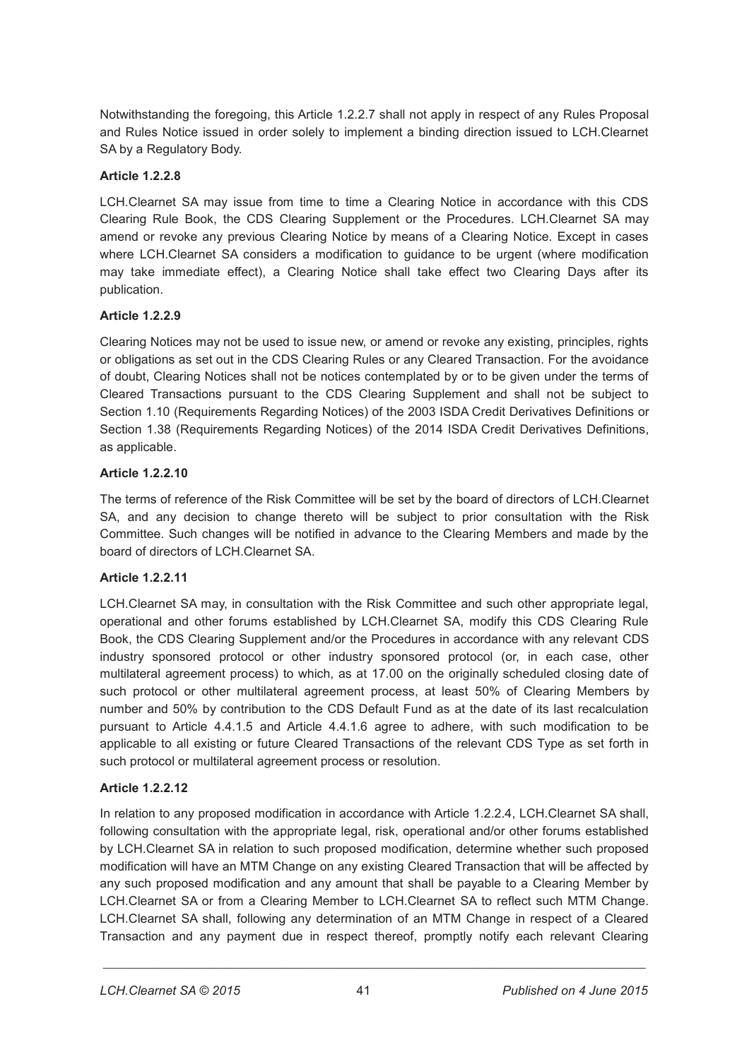Notwithstanding the foregoing, this Article 1.2.2.7 shall not apply in respect of any Rules Proposal and Rules Notice issued in order solely to implement a binding direction issued to LCH.Clearnet SA by a Regulatory Body.

## **Article 1.2.2.8**

LCH.Clearnet SA may issue from time to time a Clearing Notice in accordance with this CDS Clearing Rule Book, the CDS Clearing Supplement or the Procedures. LCH.Clearnet SA may amend or revoke any previous Clearing Notice by means of a Clearing Notice. Except in cases where LCH.Clearnet SA considers a modification to guidance to be urgent (where modification may take immediate effect), a Clearing Notice shall take effect two Clearing Days after its publication.

## **Article 1.2.2.9**

Clearing Notices may not be used to issue new, or amend or revoke any existing, principles, rights or obligations as set out in the CDS Clearing Rules or any Cleared Transaction. For the avoidance of doubt, Clearing Notices shall not be notices contemplated by or to be given under the terms of Cleared Transactions pursuant to the CDS Clearing Supplement and shall not be subject to Section 1.10 (Requirements Regarding Notices) of the 2003 ISDA Credit Derivatives Definitions or Section 1.38 (Requirements Regarding Notices) of the 2014 ISDA Credit Derivatives Definitions, as applicable.

### **Article 1.2.2.10**

The terms of reference of the Risk Committee will be set by the board of directors of LCH.Clearnet SA, and any decision to change thereto will be subject to prior consultation with the Risk Committee. Such changes will be notified in advance to the Clearing Members and made by the board of directors of LCH.Clearnet SA.

#### **Article 1.2.2.11**

LCH.Clearnet SA may, in consultation with the Risk Committee and such other appropriate legal, operational and other forums established by LCH.Clearnet SA, modify this CDS Clearing Rule Book, the CDS Clearing Supplement and/or the Procedures in accordance with any relevant CDS industry sponsored protocol or other industry sponsored protocol (or, in each case, other multilateral agreement process) to which, as at 17.00 on the originally scheduled closing date of such protocol or other multilateral agreement process, at least 50% of Clearing Members by number and 50% by contribution to the CDS Default Fund as at the date of its last recalculation pursuant to Article 4.4.1.5 and Article 4.4.1.6 agree to adhere, with such modification to be applicable to all existing or future Cleared Transactions of the relevant CDS Type as set forth in such protocol or multilateral agreement process or resolution.

## **Article 1.2.2.12**

In relation to any proposed modification in accordance with Article 1.2.2.4, LCH.Clearnet SA shall, following consultation with the appropriate legal, risk, operational and/or other forums established by LCH.Clearnet SA in relation to such proposed modification, determine whether such proposed modification will have an MTM Change on any existing Cleared Transaction that will be affected by any such proposed modification and any amount that shall be payable to a Clearing Member by LCH.Clearnet SA or from a Clearing Member to LCH.Clearnet SA to reflect such MTM Change. LCH.Clearnet SA shall, following any determination of an MTM Change in respect of a Cleared Transaction and any payment due in respect thereof, promptly notify each relevant Clearing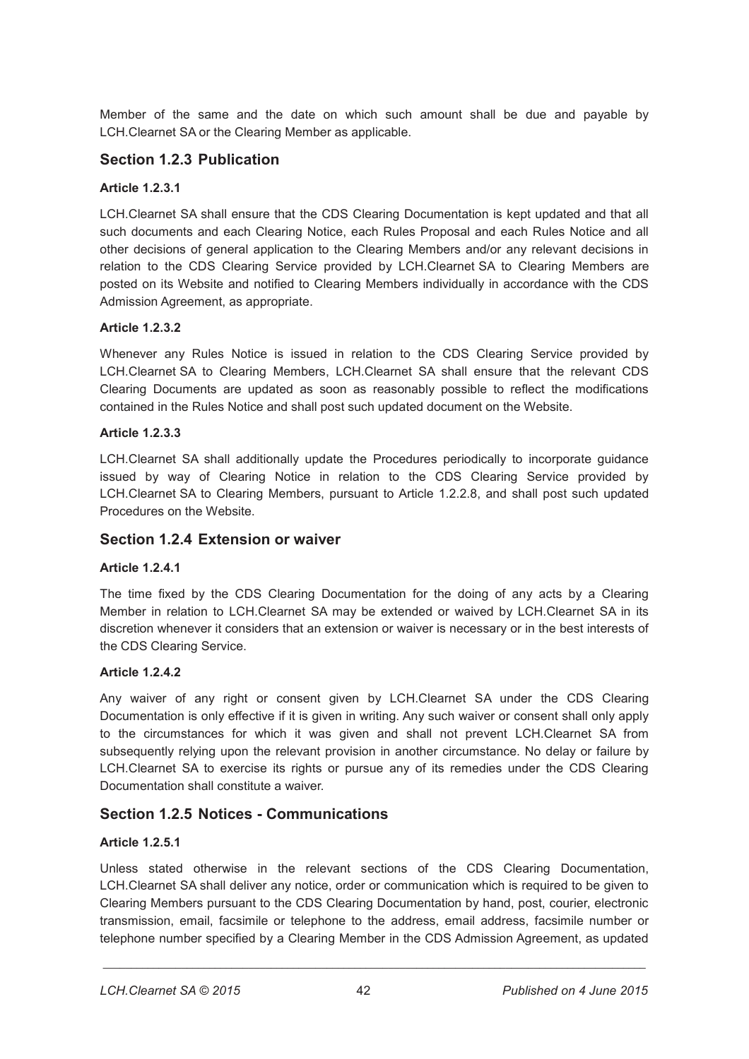Member of the same and the date on which such amount shall be due and payable by LCH.Clearnet SA or the Clearing Member as applicable.

## **Section 1.2.3 Publication**

### **Article 1.2.3.1**

LCH.Clearnet SA shall ensure that the CDS Clearing Documentation is kept updated and that all such documents and each Clearing Notice, each Rules Proposal and each Rules Notice and all other decisions of general application to the Clearing Members and/or any relevant decisions in relation to the CDS Clearing Service provided by LCH.Clearnet SA to Clearing Members are posted on its Website and notified to Clearing Members individually in accordance with the CDS Admission Agreement, as appropriate.

### **Article 1.2.3.2**

Whenever any Rules Notice is issued in relation to the CDS Clearing Service provided by LCH.Clearnet SA to Clearing Members, LCH.Clearnet SA shall ensure that the relevant CDS Clearing Documents are updated as soon as reasonably possible to reflect the modifications contained in the Rules Notice and shall post such updated document on the Website.

### **Article 1.2.3.3**

LCH.Clearnet SA shall additionally update the Procedures periodically to incorporate guidance issued by way of Clearing Notice in relation to the CDS Clearing Service provided by LCH.Clearnet SA to Clearing Members, pursuant to Article 1.2.2.8, and shall post such updated Procedures on the Website.

## **Section 1.2.4 Extension or waiver**

## **Article 1.2.4.1**

The time fixed by the CDS Clearing Documentation for the doing of any acts by a Clearing Member in relation to LCH.Clearnet SA may be extended or waived by LCH.Clearnet SA in its discretion whenever it considers that an extension or waiver is necessary or in the best interests of the CDS Clearing Service.

#### **Article 1.2.4.2**

Any waiver of any right or consent given by LCH.Clearnet SA under the CDS Clearing Documentation is only effective if it is given in writing. Any such waiver or consent shall only apply to the circumstances for which it was given and shall not prevent LCH.Clearnet SA from subsequently relying upon the relevant provision in another circumstance. No delay or failure by LCH.Clearnet SA to exercise its rights or pursue any of its remedies under the CDS Clearing Documentation shall constitute a waiver.

# **Section 1.2.5 Notices - Communications**

#### **Article 1.2.5.1**

Unless stated otherwise in the relevant sections of the CDS Clearing Documentation, LCH.Clearnet SA shall deliver any notice, order or communication which is required to be given to Clearing Members pursuant to the CDS Clearing Documentation by hand, post, courier, electronic transmission, email, facsimile or telephone to the address, email address, facsimile number or telephone number specified by a Clearing Member in the CDS Admission Agreement, as updated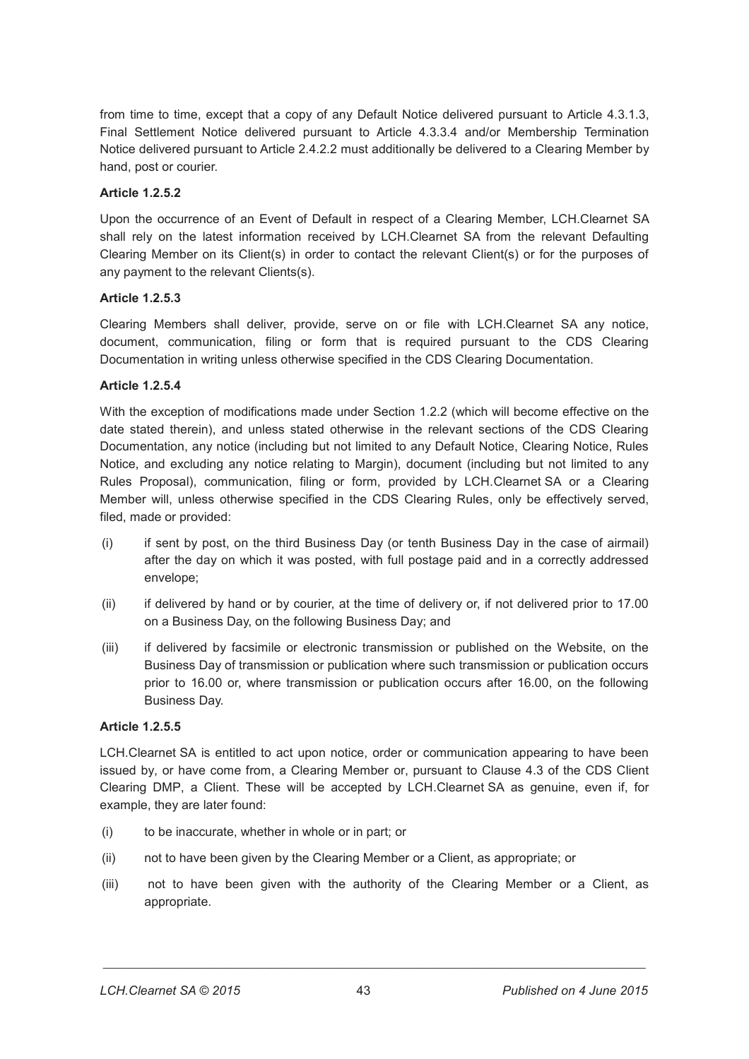from time to time, except that a copy of any Default Notice delivered pursuant to Article 4.3.1.3, Final Settlement Notice delivered pursuant to Article 4.3.3.4 and/or Membership Termination Notice delivered pursuant to Article 2.4.2.2 must additionally be delivered to a Clearing Member by hand, post or courier.

### **Article 1.2.5.2**

Upon the occurrence of an Event of Default in respect of a Clearing Member, LCH.Clearnet SA shall rely on the latest information received by LCH.Clearnet SA from the relevant Defaulting Clearing Member on its Client(s) in order to contact the relevant Client(s) or for the purposes of any payment to the relevant Clients(s).

### **Article 1.2.5.3**

Clearing Members shall deliver, provide, serve on or file with LCH.Clearnet SA any notice, document, communication, filing or form that is required pursuant to the CDS Clearing Documentation in writing unless otherwise specified in the CDS Clearing Documentation.

### **Article 1.2.5.4**

With the exception of modifications made under Section 1.2.2 (which will become effective on the date stated therein), and unless stated otherwise in the relevant sections of the CDS Clearing Documentation, any notice (including but not limited to any Default Notice, Clearing Notice, Rules Notice, and excluding any notice relating to Margin), document (including but not limited to any Rules Proposal), communication, filing or form, provided by LCH.Clearnet SA or a Clearing Member will, unless otherwise specified in the CDS Clearing Rules, only be effectively served, filed, made or provided:

- (i) if sent by post, on the third Business Day (or tenth Business Day in the case of airmail) after the day on which it was posted, with full postage paid and in a correctly addressed envelope;
- (ii) if delivered by hand or by courier, at the time of delivery or, if not delivered prior to 17.00 on a Business Day, on the following Business Day; and
- (iii) if delivered by facsimile or electronic transmission or published on the Website, on the Business Day of transmission or publication where such transmission or publication occurs prior to 16.00 or, where transmission or publication occurs after 16.00, on the following Business Day.

#### **Article 1.2.5.5**

LCH.Clearnet SA is entitled to act upon notice, order or communication appearing to have been issued by, or have come from, a Clearing Member or, pursuant to Clause 4.3 of the CDS Client Clearing DMP, a Client. These will be accepted by LCH.Clearnet SA as genuine, even if, for example, they are later found:

- (i) to be inaccurate, whether in whole or in part; or
- (ii) not to have been given by the Clearing Member or a Client, as appropriate; or
- (iii) not to have been given with the authority of the Clearing Member or a Client, as appropriate.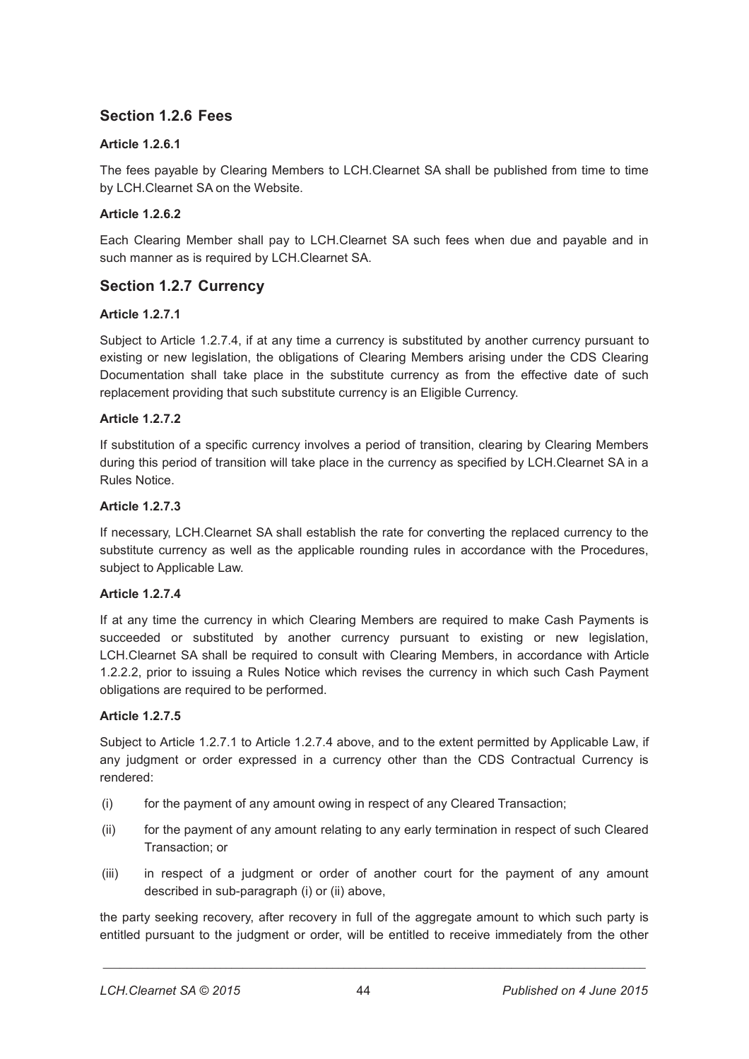# **Section 1.2.6 Fees**

## **Article 1.2.6.1**

The fees payable by Clearing Members to LCH.Clearnet SA shall be published from time to time by LCH.Clearnet SA on the Website.

## **Article 1.2.6.2**

Each Clearing Member shall pay to LCH.Clearnet SA such fees when due and payable and in such manner as is required by LCH.Clearnet SA.

# **Section 1.2.7 Currency**

## **Article 1.2.7.1**

Subject to Article 1.2.7.4, if at any time a currency is substituted by another currency pursuant to existing or new legislation, the obligations of Clearing Members arising under the CDS Clearing Documentation shall take place in the substitute currency as from the effective date of such replacement providing that such substitute currency is an Eligible Currency.

## **Article 1.2.7.2**

If substitution of a specific currency involves a period of transition, clearing by Clearing Members during this period of transition will take place in the currency as specified by LCH.Clearnet SA in a Rules Notice.

### **Article 1.2.7.3**

If necessary, LCH.Clearnet SA shall establish the rate for converting the replaced currency to the substitute currency as well as the applicable rounding rules in accordance with the Procedures, subject to Applicable Law.

## **Article 1.2.7.4**

If at any time the currency in which Clearing Members are required to make Cash Payments is succeeded or substituted by another currency pursuant to existing or new legislation, LCH.Clearnet SA shall be required to consult with Clearing Members, in accordance with Article 1.2.2.2, prior to issuing a Rules Notice which revises the currency in which such Cash Payment obligations are required to be performed.

## **Article 1.2.7.5**

Subject to Article 1.2.7.1 to Article 1.2.7.4 above, and to the extent permitted by Applicable Law, if any judgment or order expressed in a currency other than the CDS Contractual Currency is rendered:

- (i) for the payment of any amount owing in respect of any Cleared Transaction;
- (ii) for the payment of any amount relating to any early termination in respect of such Cleared Transaction; or
- (iii) in respect of a judgment or order of another court for the payment of any amount described in sub-paragraph (i) or (ii) above,

the party seeking recovery, after recovery in full of the aggregate amount to which such party is entitled pursuant to the judgment or order, will be entitled to receive immediately from the other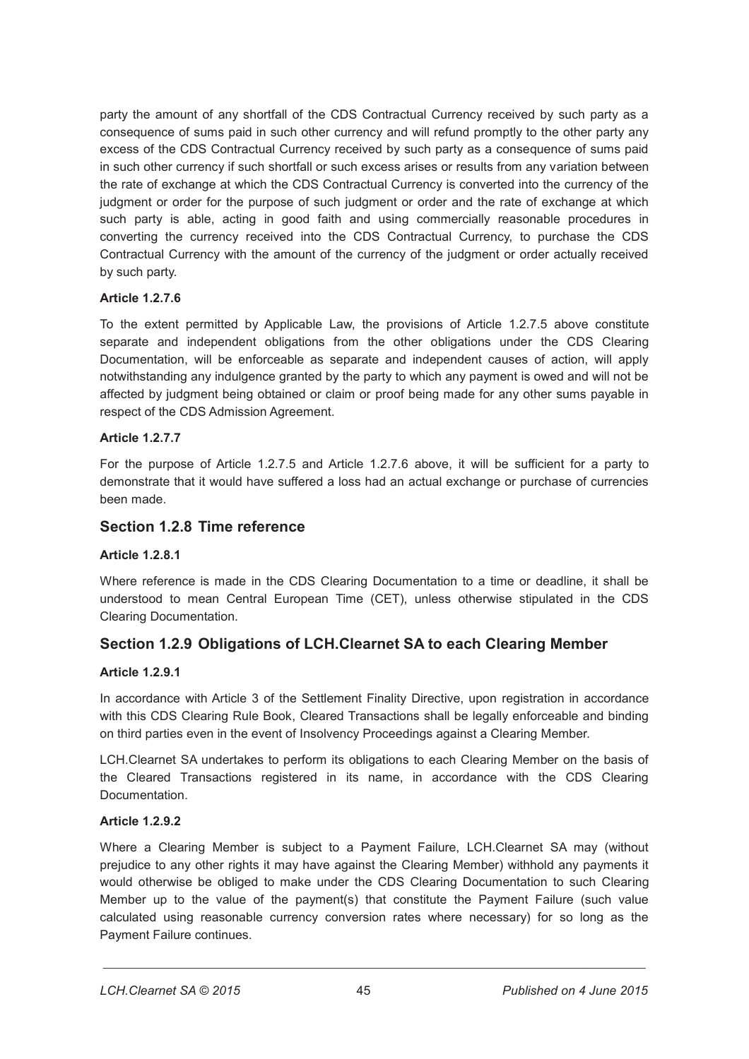party the amount of any shortfall of the CDS Contractual Currency received by such party as a consequence of sums paid in such other currency and will refund promptly to the other party any excess of the CDS Contractual Currency received by such party as a consequence of sums paid in such other currency if such shortfall or such excess arises or results from any variation between the rate of exchange at which the CDS Contractual Currency is converted into the currency of the judgment or order for the purpose of such judgment or order and the rate of exchange at which such party is able, acting in good faith and using commercially reasonable procedures in converting the currency received into the CDS Contractual Currency, to purchase the CDS Contractual Currency with the amount of the currency of the judgment or order actually received by such party.

## **Article 1.2.7.6**

To the extent permitted by Applicable Law, the provisions of Article 1.2.7.5 above constitute separate and independent obligations from the other obligations under the CDS Clearing Documentation, will be enforceable as separate and independent causes of action, will apply notwithstanding any indulgence granted by the party to which any payment is owed and will not be affected by judgment being obtained or claim or proof being made for any other sums payable in respect of the CDS Admission Agreement.

## **Article 1.2.7.7**

For the purpose of Article 1.2.7.5 and Article 1.2.7.6 above, it will be sufficient for a party to demonstrate that it would have suffered a loss had an actual exchange or purchase of currencies been made.

## **Section 1.2.8 Time reference**

## **Article 1.2.8.1**

Where reference is made in the CDS Clearing Documentation to a time or deadline, it shall be understood to mean Central European Time (CET), unless otherwise stipulated in the CDS Clearing Documentation.

# **Section 1.2.9 Obligations of LCH.Clearnet SA to each Clearing Member**

## **Article 1.2.9.1**

In accordance with Article 3 of the Settlement Finality Directive, upon registration in accordance with this CDS Clearing Rule Book, Cleared Transactions shall be legally enforceable and binding on third parties even in the event of Insolvency Proceedings against a Clearing Member.

LCH.Clearnet SA undertakes to perform its obligations to each Clearing Member on the basis of the Cleared Transactions registered in its name, in accordance with the CDS Clearing Documentation.

## **Article 1.2.9.2**

Where a Clearing Member is subject to a Payment Failure, LCH.Clearnet SA may (without prejudice to any other rights it may have against the Clearing Member) withhold any payments it would otherwise be obliged to make under the CDS Clearing Documentation to such Clearing Member up to the value of the payment(s) that constitute the Payment Failure (such value calculated using reasonable currency conversion rates where necessary) for so long as the Payment Failure continues.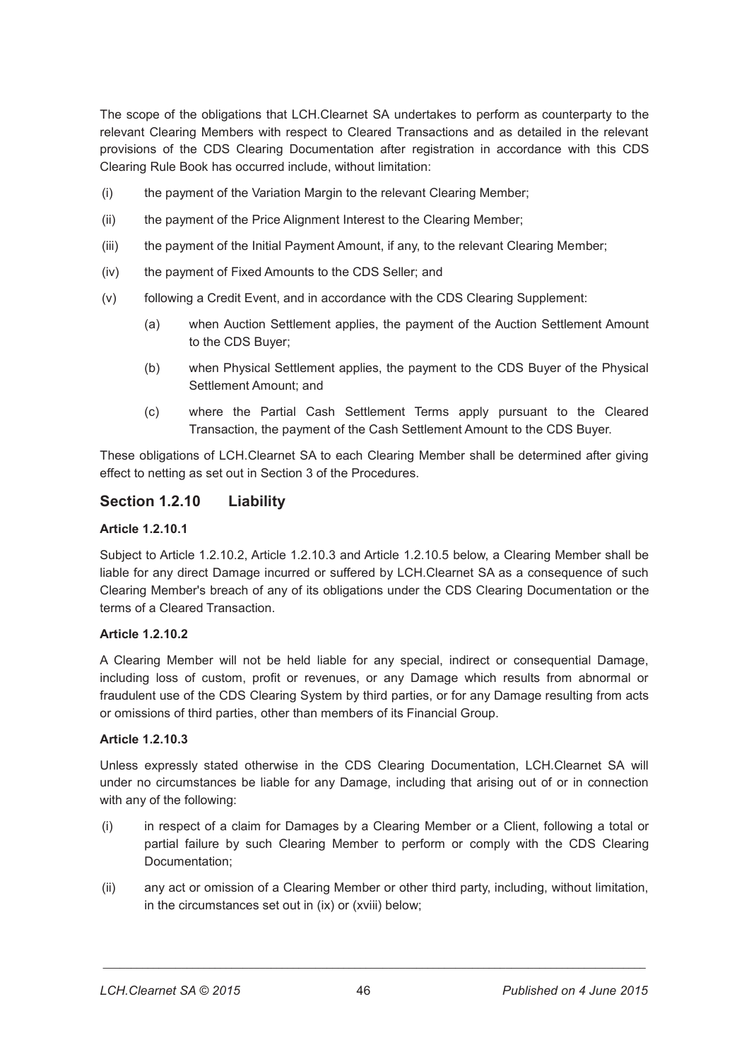The scope of the obligations that LCH.Clearnet SA undertakes to perform as counterparty to the relevant Clearing Members with respect to Cleared Transactions and as detailed in the relevant provisions of the CDS Clearing Documentation after registration in accordance with this CDS Clearing Rule Book has occurred include, without limitation:

- (i) the payment of the Variation Margin to the relevant Clearing Member;
- (ii) the payment of the Price Alignment Interest to the Clearing Member;
- (iii) the payment of the Initial Payment Amount, if any, to the relevant Clearing Member;
- (iv) the payment of Fixed Amounts to the CDS Seller; and
- (v) following a Credit Event, and in accordance with the CDS Clearing Supplement:
	- (a) when Auction Settlement applies, the payment of the Auction Settlement Amount to the CDS Buyer;
	- (b) when Physical Settlement applies, the payment to the CDS Buyer of the Physical Settlement Amount; and
	- (c) where the Partial Cash Settlement Terms apply pursuant to the Cleared Transaction, the payment of the Cash Settlement Amount to the CDS Buyer.

These obligations of LCH.Clearnet SA to each Clearing Member shall be determined after giving effect to netting as set out in Section 3 of the Procedures.

## **Section 1.2.10 Liability**

### **Article 1.2.10.1**

Subject to Article 1.2.10.2, Article 1.2.10.3 and Article 1.2.10.5 below, a Clearing Member shall be liable for any direct Damage incurred or suffered by LCH.Clearnet SA as a consequence of such Clearing Member's breach of any of its obligations under the CDS Clearing Documentation or the terms of a Cleared Transaction.

#### **Article 1.2.10.2**

A Clearing Member will not be held liable for any special, indirect or consequential Damage, including loss of custom, profit or revenues, or any Damage which results from abnormal or fraudulent use of the CDS Clearing System by third parties, or for any Damage resulting from acts or omissions of third parties, other than members of its Financial Group.

## **Article 1.2.10.3**

Unless expressly stated otherwise in the CDS Clearing Documentation, LCH.Clearnet SA will under no circumstances be liable for any Damage, including that arising out of or in connection with any of the following:

- (i) in respect of a claim for Damages by a Clearing Member or a Client, following a total or partial failure by such Clearing Member to perform or comply with the CDS Clearing Documentation:
- (ii) any act or omission of a Clearing Member or other third party, including, without limitation, in the circumstances set out in (ix) or (xviii) below;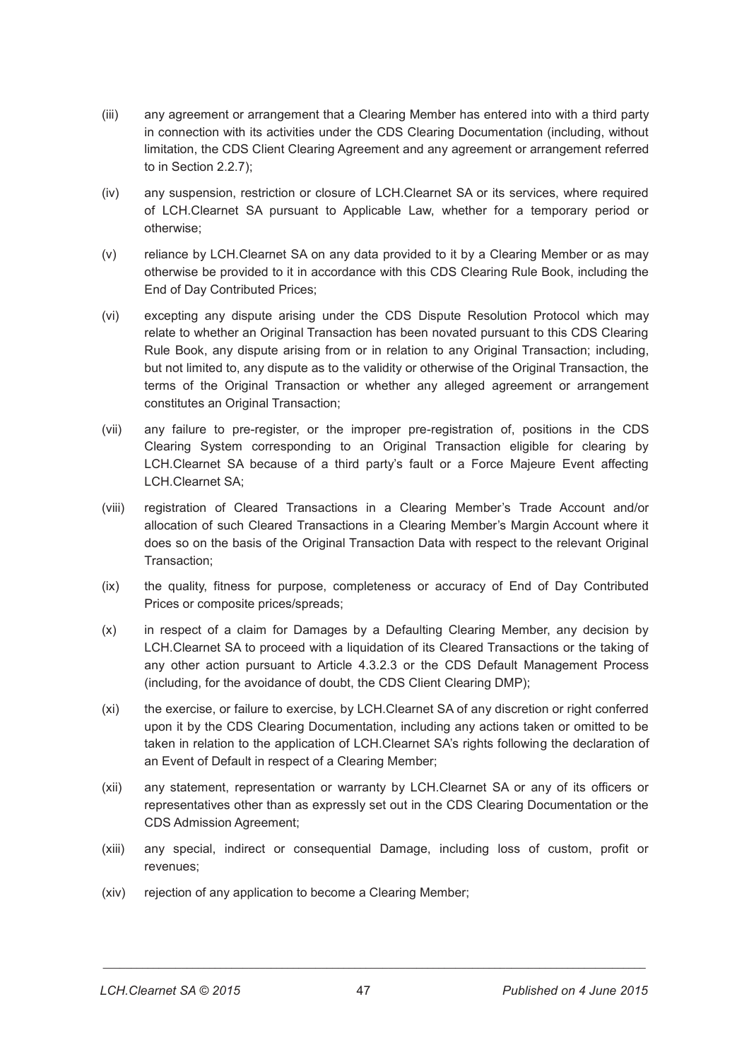- (iii) any agreement or arrangement that a Clearing Member has entered into with a third party in connection with its activities under the CDS Clearing Documentation (including, without limitation, the CDS Client Clearing Agreement and any agreement or arrangement referred to in Section 2.2.7);
- (iv) any suspension, restriction or closure of LCH.Clearnet SA or its services, where required of LCH.Clearnet SA pursuant to Applicable Law, whether for a temporary period or otherwise;
- (v) reliance by LCH.Clearnet SA on any data provided to it by a Clearing Member or as may otherwise be provided to it in accordance with this CDS Clearing Rule Book, including the End of Day Contributed Prices;
- (vi) excepting any dispute arising under the CDS Dispute Resolution Protocol which may relate to whether an Original Transaction has been novated pursuant to this CDS Clearing Rule Book, any dispute arising from or in relation to any Original Transaction; including, but not limited to, any dispute as to the validity or otherwise of the Original Transaction, the terms of the Original Transaction or whether any alleged agreement or arrangement constitutes an Original Transaction;
- (vii) any failure to pre-register, or the improper pre-registration of, positions in the CDS Clearing System corresponding to an Original Transaction eligible for clearing by LCH.Clearnet SA because of a third party's fault or a Force Majeure Event affecting LCH.Clearnet SA;
- (viii) registration of Cleared Transactions in a Clearing Member's Trade Account and/or allocation of such Cleared Transactions in a Clearing Member's Margin Account where it does so on the basis of the Original Transaction Data with respect to the relevant Original Transaction;
- (ix) the quality, fitness for purpose, completeness or accuracy of End of Day Contributed Prices or composite prices/spreads;
- (x) in respect of a claim for Damages by a Defaulting Clearing Member, any decision by LCH.Clearnet SA to proceed with a liquidation of its Cleared Transactions or the taking of any other action pursuant to Article 4.3.2.3 or the CDS Default Management Process (including, for the avoidance of doubt, the CDS Client Clearing DMP);
- (xi) the exercise, or failure to exercise, by LCH.Clearnet SA of any discretion or right conferred upon it by the CDS Clearing Documentation, including any actions taken or omitted to be taken in relation to the application of LCH.Clearnet SA's rights following the declaration of an Event of Default in respect of a Clearing Member;
- (xii) any statement, representation or warranty by LCH.Clearnet SA or any of its officers or representatives other than as expressly set out in the CDS Clearing Documentation or the CDS Admission Agreement;
- (xiii) any special, indirect or consequential Damage, including loss of custom, profit or revenues;
- (xiv) rejection of any application to become a Clearing Member;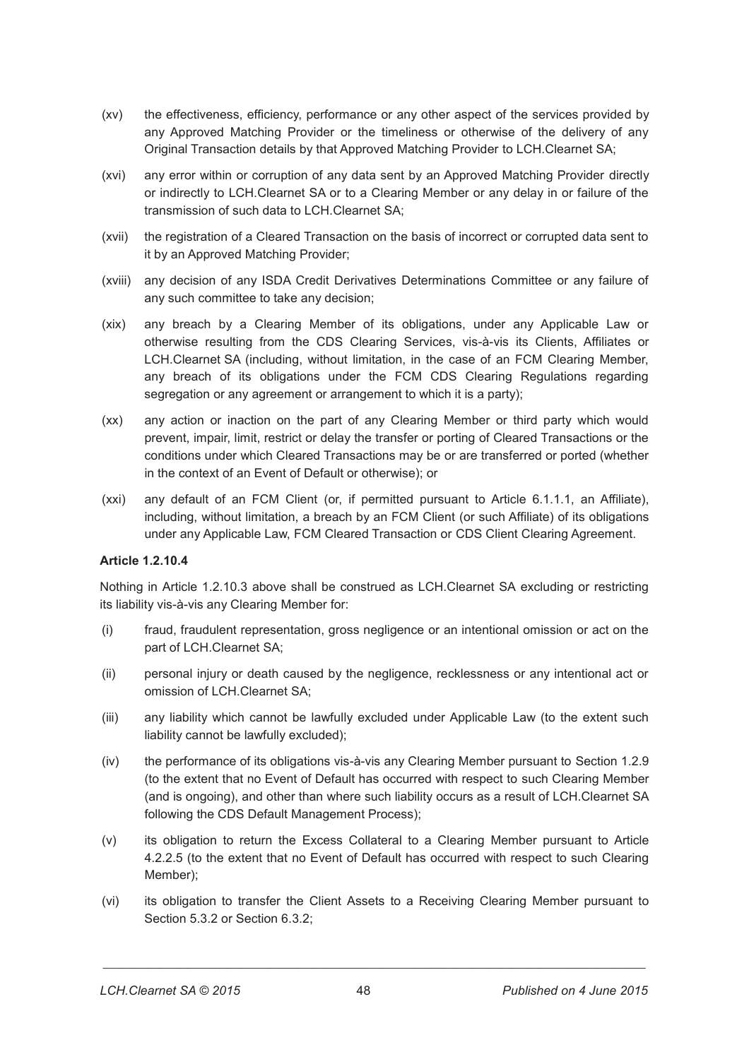- (xv) the effectiveness, efficiency, performance or any other aspect of the services provided by any Approved Matching Provider or the timeliness or otherwise of the delivery of any Original Transaction details by that Approved Matching Provider to LCH.Clearnet SA;
- (xvi) any error within or corruption of any data sent by an Approved Matching Provider directly or indirectly to LCH.Clearnet SA or to a Clearing Member or any delay in or failure of the transmission of such data to LCH.Clearnet SA;
- (xvii) the registration of a Cleared Transaction on the basis of incorrect or corrupted data sent to it by an Approved Matching Provider;
- (xviii) any decision of any ISDA Credit Derivatives Determinations Committee or any failure of any such committee to take any decision;
- (xix) any breach by a Clearing Member of its obligations, under any Applicable Law or otherwise resulting from the CDS Clearing Services, vis-à-vis its Clients, Affiliates or LCH.Clearnet SA (including, without limitation, in the case of an FCM Clearing Member, any breach of its obligations under the FCM CDS Clearing Regulations regarding segregation or any agreement or arrangement to which it is a party);
- (xx) any action or inaction on the part of any Clearing Member or third party which would prevent, impair, limit, restrict or delay the transfer or porting of Cleared Transactions or the conditions under which Cleared Transactions may be or are transferred or ported (whether in the context of an Event of Default or otherwise); or
- (xxi) any default of an FCM Client (or, if permitted pursuant to Article 6.1.1.1, an Affiliate), including, without limitation, a breach by an FCM Client (or such Affiliate) of its obligations under any Applicable Law, FCM Cleared Transaction or CDS Client Clearing Agreement.

## **Article 1.2.10.4**

Nothing in Article 1.2.10.3 above shall be construed as LCH.Clearnet SA excluding or restricting its liability vis-à-vis any Clearing Member for:

- (i) fraud, fraudulent representation, gross negligence or an intentional omission or act on the part of LCH.Clearnet SA;
- (ii) personal injury or death caused by the negligence, recklessness or any intentional act or omission of LCH.Clearnet SA;
- (iii) any liability which cannot be lawfully excluded under Applicable Law (to the extent such liability cannot be lawfully excluded);
- (iv) the performance of its obligations vis-à-vis any Clearing Member pursuant to Section 1.2.9 (to the extent that no Event of Default has occurred with respect to such Clearing Member (and is ongoing), and other than where such liability occurs as a result of LCH.Clearnet SA following the CDS Default Management Process);
- (v) its obligation to return the Excess Collateral to a Clearing Member pursuant to Article 4.2.2.5 (to the extent that no Event of Default has occurred with respect to such Clearing Member);
- (vi) its obligation to transfer the Client Assets to a Receiving Clearing Member pursuant to Section 5.3.2 or Section 6.3.2;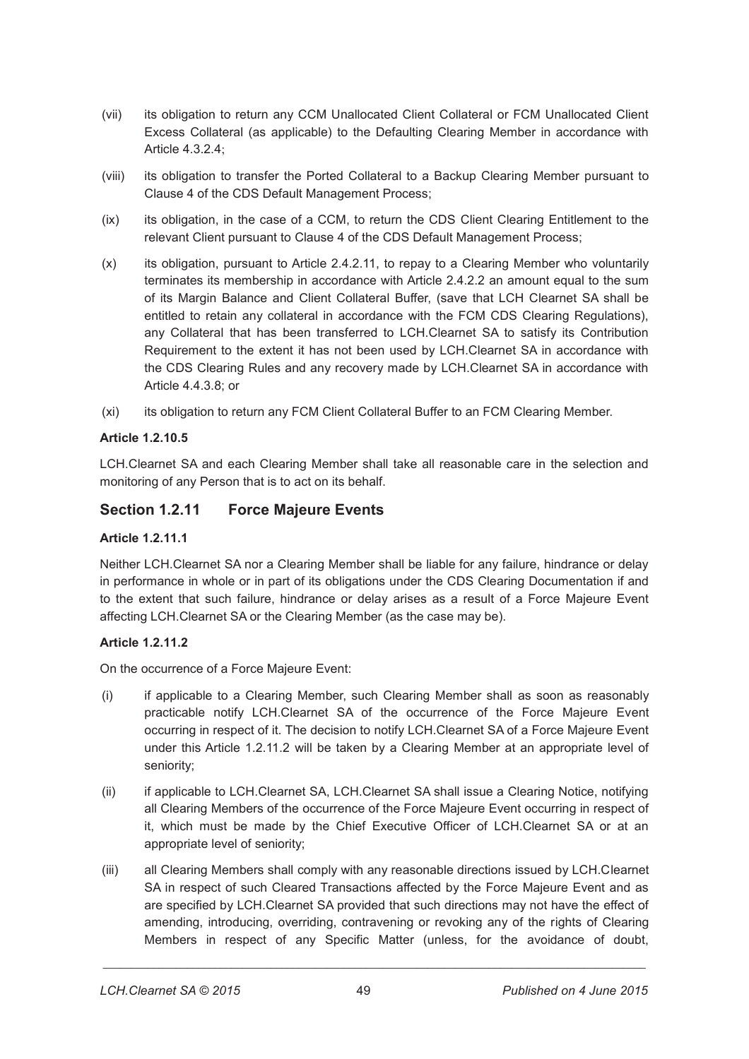- (vii) its obligation to return any CCM Unallocated Client Collateral or FCM Unallocated Client Excess Collateral (as applicable) to the Defaulting Clearing Member in accordance with Article 4.3.2.4;
- (viii) its obligation to transfer the Ported Collateral to a Backup Clearing Member pursuant to Clause 4 of the CDS Default Management Process;
- (ix) its obligation, in the case of a CCM, to return the CDS Client Clearing Entitlement to the relevant Client pursuant to Clause 4 of the CDS Default Management Process;
- (x) its obligation, pursuant to Article 2.4.2.11, to repay to a Clearing Member who voluntarily terminates its membership in accordance with Article 2.4.2.2 an amount equal to the sum of its Margin Balance and Client Collateral Buffer, (save that LCH Clearnet SA shall be entitled to retain any collateral in accordance with the FCM CDS Clearing Regulations), any Collateral that has been transferred to LCH.Clearnet SA to satisfy its Contribution Requirement to the extent it has not been used by LCH.Clearnet SA in accordance with the CDS Clearing Rules and any recovery made by LCH.Clearnet SA in accordance with Article 4.4.3.8; or
- (xi) its obligation to return any FCM Client Collateral Buffer to an FCM Clearing Member.

### **Article 1.2.10.5**

LCH.Clearnet SA and each Clearing Member shall take all reasonable care in the selection and monitoring of any Person that is to act on its behalf.

## **Section 1.2.11 Force Majeure Events**

## **Article 1.2.11.1**

Neither LCH.Clearnet SA nor a Clearing Member shall be liable for any failure, hindrance or delay in performance in whole or in part of its obligations under the CDS Clearing Documentation if and to the extent that such failure, hindrance or delay arises as a result of a Force Majeure Event affecting LCH.Clearnet SA or the Clearing Member (as the case may be).

## **Article 1.2.11.2**

On the occurrence of a Force Majeure Event:

- (i) if applicable to a Clearing Member, such Clearing Member shall as soon as reasonably practicable notify LCH.Clearnet SA of the occurrence of the Force Majeure Event occurring in respect of it. The decision to notify LCH.Clearnet SA of a Force Majeure Event under this Article 1.2.11.2 will be taken by a Clearing Member at an appropriate level of seniority;
- (ii) if applicable to LCH.Clearnet SA, LCH.Clearnet SA shall issue a Clearing Notice, notifying all Clearing Members of the occurrence of the Force Majeure Event occurring in respect of it, which must be made by the Chief Executive Officer of LCH.Clearnet SA or at an appropriate level of seniority;
- (iii) all Clearing Members shall comply with any reasonable directions issued by LCH.Clearnet SA in respect of such Cleared Transactions affected by the Force Majeure Event and as are specified by LCH.Clearnet SA provided that such directions may not have the effect of amending, introducing, overriding, contravening or revoking any of the rights of Clearing Members in respect of any Specific Matter (unless, for the avoidance of doubt,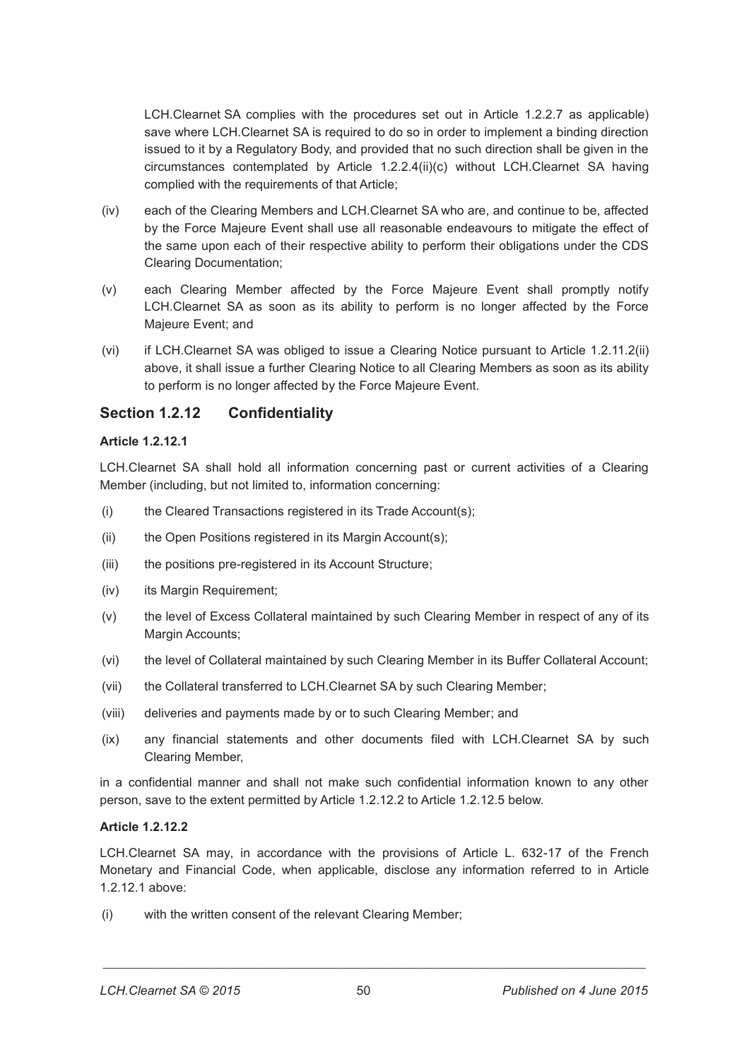LCH.Clearnet SA complies with the procedures set out in Article 1.2.2.7 as applicable) save where LCH.Clearnet SA is required to do so in order to implement a binding direction issued to it by a Regulatory Body, and provided that no such direction shall be given in the circumstances contemplated by Article 1.2.2.4(ii)(c) without LCH.Clearnet SA having complied with the requirements of that Article;

- (iv) each of the Clearing Members and LCH.Clearnet SA who are, and continue to be, affected by the Force Majeure Event shall use all reasonable endeavours to mitigate the effect of the same upon each of their respective ability to perform their obligations under the CDS Clearing Documentation;
- (v) each Clearing Member affected by the Force Majeure Event shall promptly notify LCH.Clearnet SA as soon as its ability to perform is no longer affected by the Force Majeure Event; and
- (vi) if LCH.Clearnet SA was obliged to issue a Clearing Notice pursuant to Article 1.2.11.2(ii) above, it shall issue a further Clearing Notice to all Clearing Members as soon as its ability to perform is no longer affected by the Force Majeure Event.

# **Section 1.2.12 Confidentiality**

#### **Article 1.2.12.1**

LCH.Clearnet SA shall hold all information concerning past or current activities of a Clearing Member (including, but not limited to, information concerning:

- (i) the Cleared Transactions registered in its Trade Account(s);
- (ii) the Open Positions registered in its Margin Account(s);
- (iii) the positions pre-registered in its Account Structure;
- (iv) its Margin Requirement;
- (v) the level of Excess Collateral maintained by such Clearing Member in respect of any of its Margin Accounts;
- (vi) the level of Collateral maintained by such Clearing Member in its Buffer Collateral Account;
- (vii) the Collateral transferred to LCH.Clearnet SA by such Clearing Member;
- (viii) deliveries and payments made by or to such Clearing Member; and
- (ix) any financial statements and other documents filed with LCH.Clearnet SA by such Clearing Member,

in a confidential manner and shall not make such confidential information known to any other person, save to the extent permitted by Article 1.2.12.2 to Article 1.2.12.5 below.

#### **Article 1.2.12.2**

LCH.Clearnet SA may, in accordance with the provisions of Article L. 632-17 of the French Monetary and Financial Code, when applicable, disclose any information referred to in Article 1.2.12.1 above:

(i) with the written consent of the relevant Clearing Member;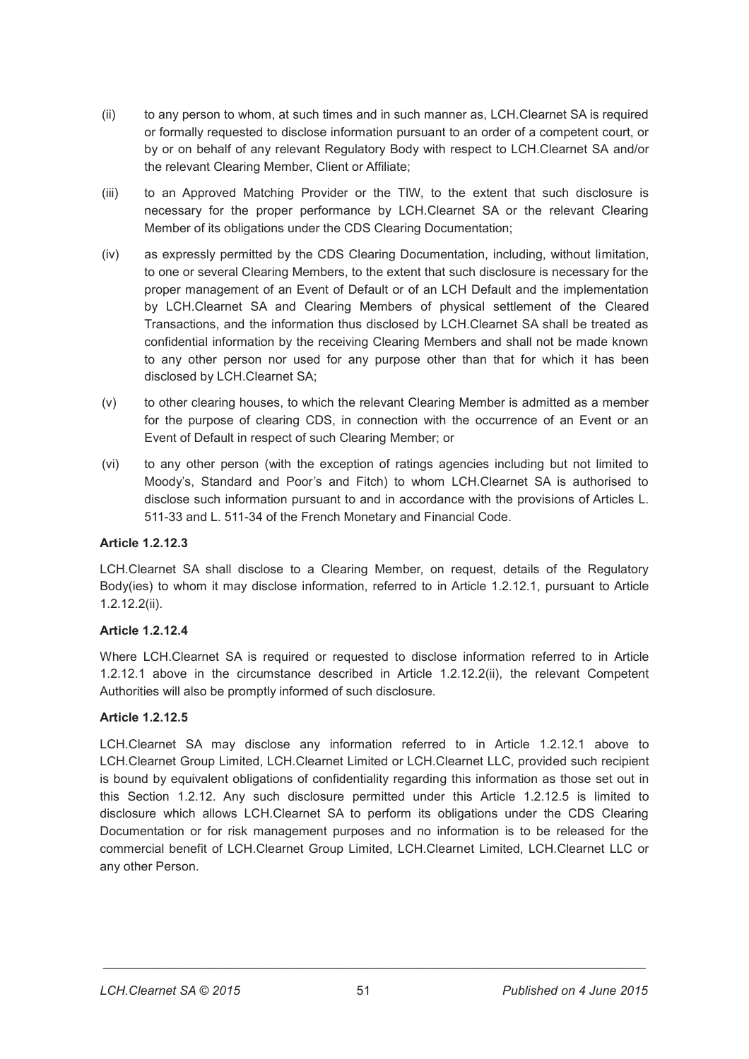- (ii) to any person to whom, at such times and in such manner as, LCH.Clearnet SA is required or formally requested to disclose information pursuant to an order of a competent court, or by or on behalf of any relevant Regulatory Body with respect to LCH.Clearnet SA and/or the relevant Clearing Member, Client or Affiliate;
- (iii) to an Approved Matching Provider or the TIW, to the extent that such disclosure is necessary for the proper performance by LCH.Clearnet SA or the relevant Clearing Member of its obligations under the CDS Clearing Documentation;
- (iv) as expressly permitted by the CDS Clearing Documentation, including, without limitation, to one or several Clearing Members, to the extent that such disclosure is necessary for the proper management of an Event of Default or of an LCH Default and the implementation by LCH.Clearnet SA and Clearing Members of physical settlement of the Cleared Transactions, and the information thus disclosed by LCH.Clearnet SA shall be treated as confidential information by the receiving Clearing Members and shall not be made known to any other person nor used for any purpose other than that for which it has been disclosed by LCH.Clearnet SA;
- (v) to other clearing houses, to which the relevant Clearing Member is admitted as a member for the purpose of clearing CDS, in connection with the occurrence of an Event or an Event of Default in respect of such Clearing Member; or
- (vi) to any other person (with the exception of ratings agencies including but not limited to Moody's, Standard and Poor's and Fitch) to whom LCH.Clearnet SA is authorised to disclose such information pursuant to and in accordance with the provisions of Articles L. 511-33 and L. 511-34 of the French Monetary and Financial Code.

## **Article 1.2.12.3**

LCH.Clearnet SA shall disclose to a Clearing Member, on request, details of the Regulatory Body(ies) to whom it may disclose information, referred to in Article 1.2.12.1, pursuant to Article 1.2.12.2(ii).

## **Article 1.2.12.4**

Where LCH.Clearnet SA is required or requested to disclose information referred to in Article 1.2.12.1 above in the circumstance described in Article 1.2.12.2(ii), the relevant Competent Authorities will also be promptly informed of such disclosure.

## **Article 1.2.12.5**

LCH.Clearnet SA may disclose any information referred to in Article 1.2.12.1 above to LCH.Clearnet Group Limited, LCH.Clearnet Limited or LCH.Clearnet LLC, provided such recipient is bound by equivalent obligations of confidentiality regarding this information as those set out in this Section 1.2.12. Any such disclosure permitted under this Article 1.2.12.5 is limited to disclosure which allows LCH.Clearnet SA to perform its obligations under the CDS Clearing Documentation or for risk management purposes and no information is to be released for the commercial benefit of LCH.Clearnet Group Limited, LCH.Clearnet Limited, LCH.Clearnet LLC or any other Person.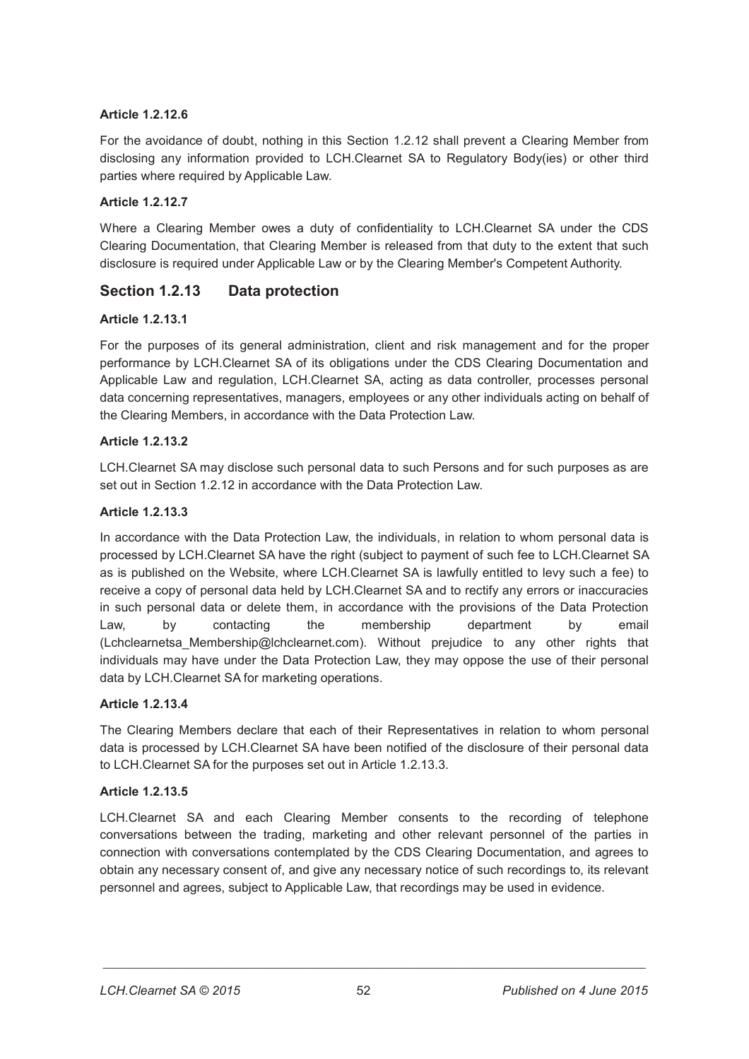## **Article 1.2.12.6**

For the avoidance of doubt, nothing in this Section 1.2.12 shall prevent a Clearing Member from disclosing any information provided to LCH.Clearnet SA to Regulatory Body(ies) or other third parties where required by Applicable Law.

## **Article 1.2.12.7**

Where a Clearing Member owes a duty of confidentiality to LCH.Clearnet SA under the CDS Clearing Documentation, that Clearing Member is released from that duty to the extent that such disclosure is required under Applicable Law or by the Clearing Member's Competent Authority.

# **Section 1.2.13 Data protection**

## **Article 1.2.13.1**

For the purposes of its general administration, client and risk management and for the proper performance by LCH.Clearnet SA of its obligations under the CDS Clearing Documentation and Applicable Law and regulation, LCH.Clearnet SA, acting as data controller, processes personal data concerning representatives, managers, employees or any other individuals acting on behalf of the Clearing Members, in accordance with the Data Protection Law.

## **Article 1.2.13.2**

LCH.Clearnet SA may disclose such personal data to such Persons and for such purposes as are set out in Section 1.2.12 in accordance with the Data Protection Law.

## **Article 1.2.13.3**

In accordance with the Data Protection Law, the individuals, in relation to whom personal data is processed by LCH.Clearnet SA have the right (subject to payment of such fee to LCH.Clearnet SA as is published on the Website, where LCH.Clearnet SA is lawfully entitled to levy such a fee) to receive a copy of personal data held by LCH.Clearnet SA and to rectify any errors or inaccuracies in such personal data or delete them, in accordance with the provisions of the Data Protection Law, by contacting the membership department by email (Lchclearnetsa\_Membership@lchclearnet.com). Without prejudice to any other rights that individuals may have under the Data Protection Law, they may oppose the use of their personal data by LCH.Clearnet SA for marketing operations.

## **Article 1.2.13.4**

The Clearing Members declare that each of their Representatives in relation to whom personal data is processed by LCH.Clearnet SA have been notified of the disclosure of their personal data to LCH.Clearnet SA for the purposes set out in Article 1.2.13.3.

## **Article 1.2.13.5**

LCH.Clearnet SA and each Clearing Member consents to the recording of telephone conversations between the trading, marketing and other relevant personnel of the parties in connection with conversations contemplated by the CDS Clearing Documentation, and agrees to obtain any necessary consent of, and give any necessary notice of such recordings to, its relevant personnel and agrees, subject to Applicable Law, that recordings may be used in evidence.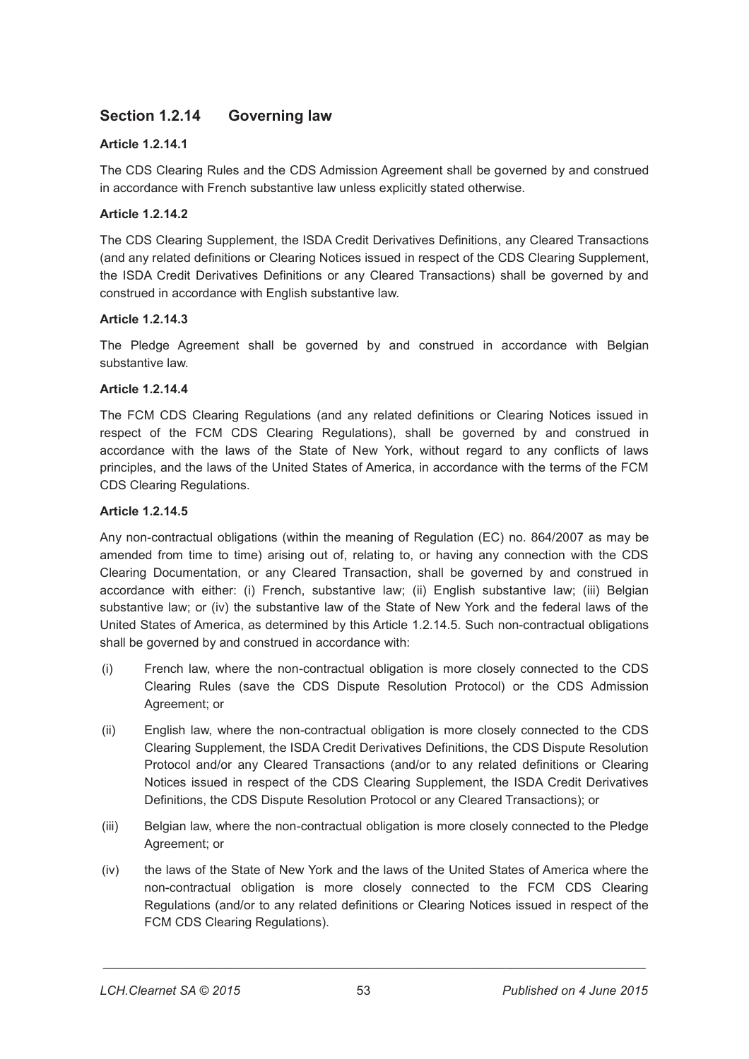# **Section 1.2.14 Governing law**

## **Article 1.2.14.1**

The CDS Clearing Rules and the CDS Admission Agreement shall be governed by and construed in accordance with French substantive law unless explicitly stated otherwise.

## **Article 1.2.14.2**

The CDS Clearing Supplement, the ISDA Credit Derivatives Definitions, any Cleared Transactions (and any related definitions or Clearing Notices issued in respect of the CDS Clearing Supplement, the ISDA Credit Derivatives Definitions or any Cleared Transactions) shall be governed by and construed in accordance with English substantive law.

## **Article 1.2.14.3**

The Pledge Agreement shall be governed by and construed in accordance with Belgian substantive law.

## **Article 1.2.14.4**

The FCM CDS Clearing Regulations (and any related definitions or Clearing Notices issued in respect of the FCM CDS Clearing Regulations), shall be governed by and construed in accordance with the laws of the State of New York, without regard to any conflicts of laws principles, and the laws of the United States of America, in accordance with the terms of the FCM CDS Clearing Regulations.

## **Article 1.2.14.5**

Any non-contractual obligations (within the meaning of Regulation (EC) no. 864/2007 as may be amended from time to time) arising out of, relating to, or having any connection with the CDS Clearing Documentation, or any Cleared Transaction, shall be governed by and construed in accordance with either: (i) French, substantive law; (ii) English substantive law; (iii) Belgian substantive law; or (iv) the substantive law of the State of New York and the federal laws of the United States of America, as determined by this Article 1.2.14.5. Such non-contractual obligations shall be governed by and construed in accordance with:

- (i) French law, where the non-contractual obligation is more closely connected to the CDS Clearing Rules (save the CDS Dispute Resolution Protocol) or the CDS Admission Agreement; or
- (ii) English law, where the non-contractual obligation is more closely connected to the CDS Clearing Supplement, the ISDA Credit Derivatives Definitions, the CDS Dispute Resolution Protocol and/or any Cleared Transactions (and/or to any related definitions or Clearing Notices issued in respect of the CDS Clearing Supplement, the ISDA Credit Derivatives Definitions, the CDS Dispute Resolution Protocol or any Cleared Transactions); or
- (iii) Belgian law, where the non-contractual obligation is more closely connected to the Pledge Agreement; or
- (iv) the laws of the State of New York and the laws of the United States of America where the non-contractual obligation is more closely connected to the FCM CDS Clearing Regulations (and/or to any related definitions or Clearing Notices issued in respect of the FCM CDS Clearing Regulations).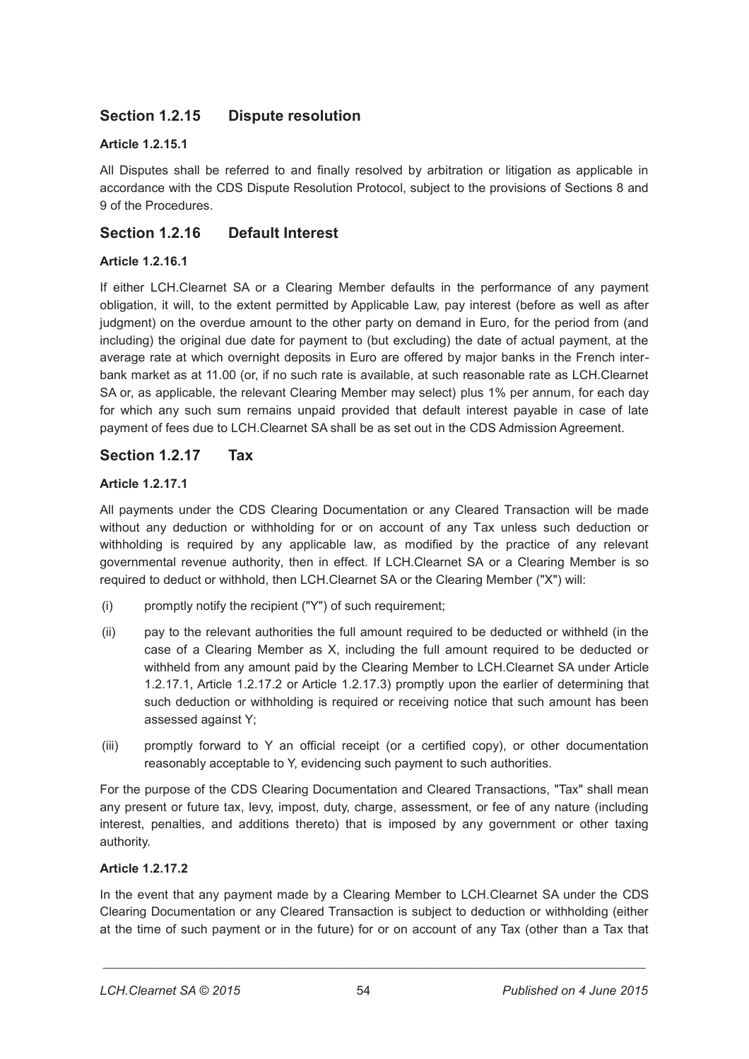# **Section 1.2.15 Dispute resolution**

## **Article 1.2.15.1**

All Disputes shall be referred to and finally resolved by arbitration or litigation as applicable in accordance with the CDS Dispute Resolution Protocol, subject to the provisions of Sections 8 and 9 of the Procedures.

# **Section 1.2.16 Default Interest**

## **Article 1.2.16.1**

If either LCH.Clearnet SA or a Clearing Member defaults in the performance of any payment obligation, it will, to the extent permitted by Applicable Law, pay interest (before as well as after judgment) on the overdue amount to the other party on demand in Euro, for the period from (and including) the original due date for payment to (but excluding) the date of actual payment, at the average rate at which overnight deposits in Euro are offered by major banks in the French interbank market as at 11.00 (or, if no such rate is available, at such reasonable rate as LCH.Clearnet SA or, as applicable, the relevant Clearing Member may select) plus 1% per annum, for each day for which any such sum remains unpaid provided that default interest payable in case of late payment of fees due to LCH.Clearnet SA shall be as set out in the CDS Admission Agreement.

# **Section 1.2.17 Tax**

## **Article 1.2.17.1**

All payments under the CDS Clearing Documentation or any Cleared Transaction will be made without any deduction or withholding for or on account of any Tax unless such deduction or withholding is required by any applicable law, as modified by the practice of any relevant governmental revenue authority, then in effect. If LCH.Clearnet SA or a Clearing Member is so required to deduct or withhold, then LCH.Clearnet SA or the Clearing Member ("X") will:

- (i) promptly notify the recipient ("Y") of such requirement;
- (ii) pay to the relevant authorities the full amount required to be deducted or withheld (in the case of a Clearing Member as X, including the full amount required to be deducted or withheld from any amount paid by the Clearing Member to LCH.Clearnet SA under Article 1.2.17.1, Article 1.2.17.2 or Article 1.2.17.3) promptly upon the earlier of determining that such deduction or withholding is required or receiving notice that such amount has been assessed against Y;
- (iii) promptly forward to Y an official receipt (or a certified copy), or other documentation reasonably acceptable to Y, evidencing such payment to such authorities.

For the purpose of the CDS Clearing Documentation and Cleared Transactions, "Tax" shall mean any present or future tax, levy, impost, duty, charge, assessment, or fee of any nature (including interest, penalties, and additions thereto) that is imposed by any government or other taxing authority.

## **Article 1.2.17.2**

In the event that any payment made by a Clearing Member to LCH.Clearnet SA under the CDS Clearing Documentation or any Cleared Transaction is subject to deduction or withholding (either at the time of such payment or in the future) for or on account of any Tax (other than a Tax that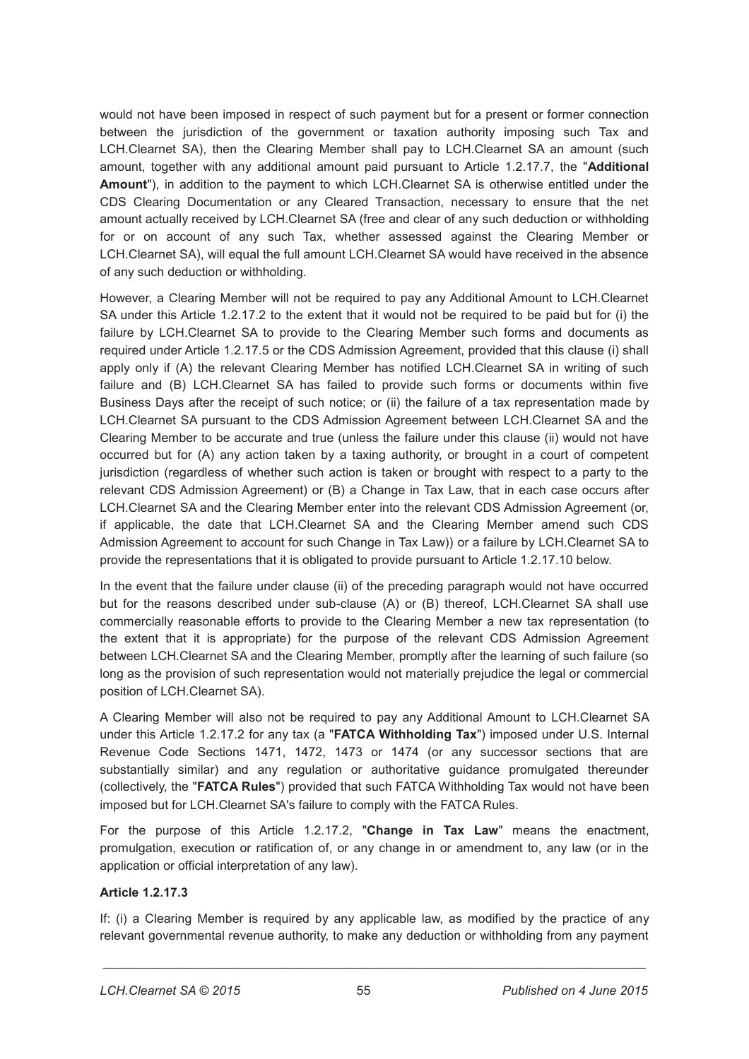would not have been imposed in respect of such payment but for a present or former connection between the jurisdiction of the government or taxation authority imposing such Tax and LCH.Clearnet SA), then the Clearing Member shall pay to LCH.Clearnet SA an amount (such amount, together with any additional amount paid pursuant to Article 1.2.17.7, the "**Additional Amount**"), in addition to the payment to which LCH.Clearnet SA is otherwise entitled under the CDS Clearing Documentation or any Cleared Transaction, necessary to ensure that the net amount actually received by LCH.Clearnet SA (free and clear of any such deduction or withholding for or on account of any such Tax, whether assessed against the Clearing Member or LCH.Clearnet SA), will equal the full amount LCH.Clearnet SA would have received in the absence of any such deduction or withholding.

However, a Clearing Member will not be required to pay any Additional Amount to LCH.Clearnet SA under this Article 1.2.17.2 to the extent that it would not be required to be paid but for (i) the failure by LCH.Clearnet SA to provide to the Clearing Member such forms and documents as required under Article 1.2.17.5 or the CDS Admission Agreement, provided that this clause (i) shall apply only if (A) the relevant Clearing Member has notified LCH.Clearnet SA in writing of such failure and (B) LCH.Clearnet SA has failed to provide such forms or documents within five Business Days after the receipt of such notice; or (ii) the failure of a tax representation made by LCH.Clearnet SA pursuant to the CDS Admission Agreement between LCH.Clearnet SA and the Clearing Member to be accurate and true (unless the failure under this clause (ii) would not have occurred but for (A) any action taken by a taxing authority, or brought in a court of competent jurisdiction (regardless of whether such action is taken or brought with respect to a party to the relevant CDS Admission Agreement) or (B) a Change in Tax Law, that in each case occurs after LCH.Clearnet SA and the Clearing Member enter into the relevant CDS Admission Agreement (or, if applicable, the date that LCH.Clearnet SA and the Clearing Member amend such CDS Admission Agreement to account for such Change in Tax Law)) or a failure by LCH.Clearnet SA to provide the representations that it is obligated to provide pursuant to Article 1.2.17.10 below.

In the event that the failure under clause (ii) of the preceding paragraph would not have occurred but for the reasons described under sub-clause (A) or (B) thereof, LCH.Clearnet SA shall use commercially reasonable efforts to provide to the Clearing Member a new tax representation (to the extent that it is appropriate) for the purpose of the relevant CDS Admission Agreement between LCH.Clearnet SA and the Clearing Member, promptly after the learning of such failure (so long as the provision of such representation would not materially prejudice the legal or commercial position of LCH.Clearnet SA).

A Clearing Member will also not be required to pay any Additional Amount to LCH.Clearnet SA under this Article 1.2.17.2 for any tax (a "**FATCA Withholding Tax**") imposed under U.S. Internal Revenue Code Sections 1471, 1472, 1473 or 1474 (or any successor sections that are substantially similar) and any regulation or authoritative guidance promulgated thereunder (collectively, the "**FATCA Rules**") provided that such FATCA Withholding Tax would not have been imposed but for LCH.Clearnet SA's failure to comply with the FATCA Rules.

For the purpose of this Article 1.2.17.2, "**Change in Tax Law**" means the enactment, promulgation, execution or ratification of, or any change in or amendment to, any law (or in the application or official interpretation of any law).

## **Article 1.2.17.3**

If: (i) a Clearing Member is required by any applicable law, as modified by the practice of any relevant governmental revenue authority, to make any deduction or withholding from any payment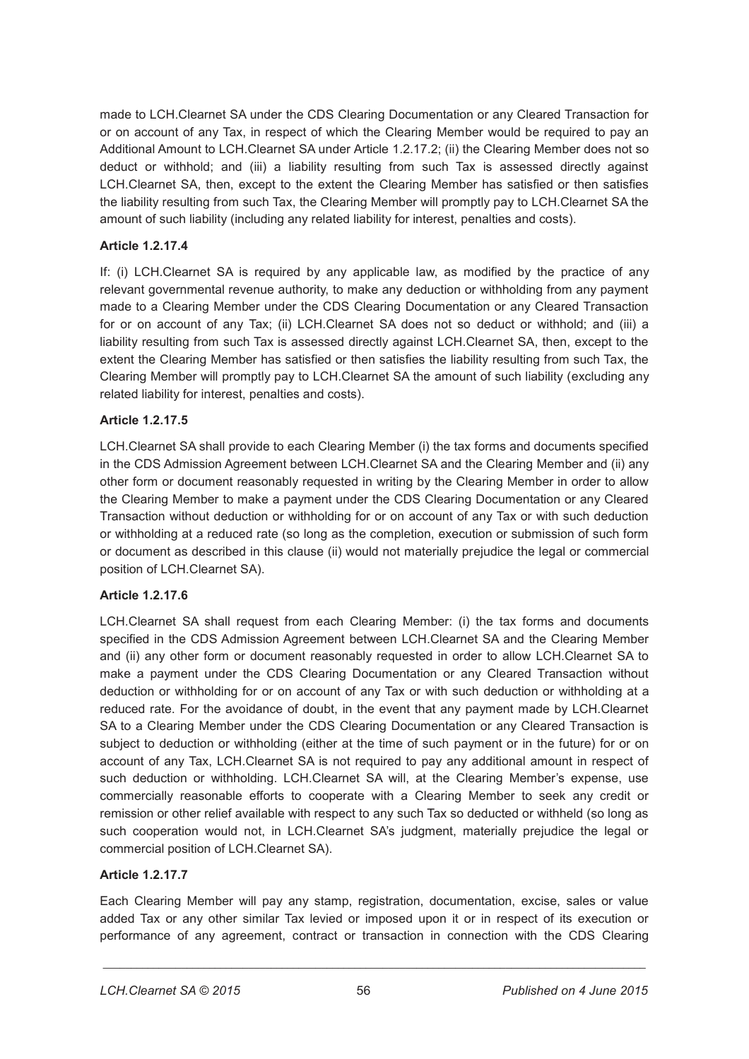made to LCH.Clearnet SA under the CDS Clearing Documentation or any Cleared Transaction for or on account of any Tax, in respect of which the Clearing Member would be required to pay an Additional Amount to LCH.Clearnet SA under Article 1.2.17.2; (ii) the Clearing Member does not so deduct or withhold; and (iii) a liability resulting from such Tax is assessed directly against LCH.Clearnet SA, then, except to the extent the Clearing Member has satisfied or then satisfies the liability resulting from such Tax, the Clearing Member will promptly pay to LCH.Clearnet SA the amount of such liability (including any related liability for interest, penalties and costs).

## **Article 1.2.17.4**

If: (i) LCH.Clearnet SA is required by any applicable law, as modified by the practice of any relevant governmental revenue authority, to make any deduction or withholding from any payment made to a Clearing Member under the CDS Clearing Documentation or any Cleared Transaction for or on account of any Tax; (ii) LCH.Clearnet SA does not so deduct or withhold; and (iii) a liability resulting from such Tax is assessed directly against LCH.Clearnet SA, then, except to the extent the Clearing Member has satisfied or then satisfies the liability resulting from such Tax, the Clearing Member will promptly pay to LCH.Clearnet SA the amount of such liability (excluding any related liability for interest, penalties and costs).

## **Article 1.2.17.5**

LCH.Clearnet SA shall provide to each Clearing Member (i) the tax forms and documents specified in the CDS Admission Agreement between LCH.Clearnet SA and the Clearing Member and (ii) any other form or document reasonably requested in writing by the Clearing Member in order to allow the Clearing Member to make a payment under the CDS Clearing Documentation or any Cleared Transaction without deduction or withholding for or on account of any Tax or with such deduction or withholding at a reduced rate (so long as the completion, execution or submission of such form or document as described in this clause (ii) would not materially prejudice the legal or commercial position of LCH.Clearnet SA).

## **Article 1.2.17.6**

LCH.Clearnet SA shall request from each Clearing Member: (i) the tax forms and documents specified in the CDS Admission Agreement between LCH.Clearnet SA and the Clearing Member and (ii) any other form or document reasonably requested in order to allow LCH.Clearnet SA to make a payment under the CDS Clearing Documentation or any Cleared Transaction without deduction or withholding for or on account of any Tax or with such deduction or withholding at a reduced rate. For the avoidance of doubt, in the event that any payment made by LCH.Clearnet SA to a Clearing Member under the CDS Clearing Documentation or any Cleared Transaction is subject to deduction or withholding (either at the time of such payment or in the future) for or on account of any Tax, LCH.Clearnet SA is not required to pay any additional amount in respect of such deduction or withholding. LCH.Clearnet SA will, at the Clearing Member's expense, use commercially reasonable efforts to cooperate with a Clearing Member to seek any credit or remission or other relief available with respect to any such Tax so deducted or withheld (so long as such cooperation would not, in LCH.Clearnet SA's judgment, materially prejudice the legal or commercial position of LCH.Clearnet SA).

# **Article 1.2.17.7**

Each Clearing Member will pay any stamp, registration, documentation, excise, sales or value added Tax or any other similar Tax levied or imposed upon it or in respect of its execution or performance of any agreement, contract or transaction in connection with the CDS Clearing